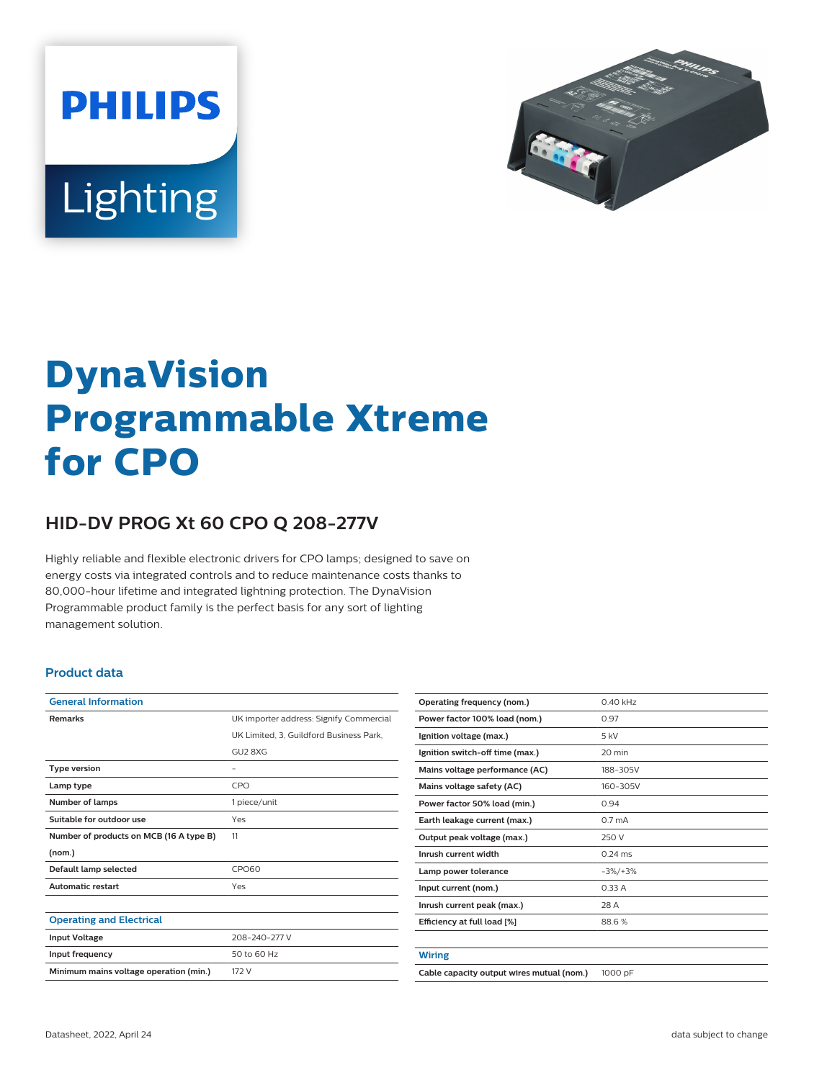



# **DynaVision Programmable Xtreme for CPO**

## **HID-DV PROG Xt 60 CPO Q 208-277V**

Highly reliable and flexible electronic drivers for CPO lamps; designed to save on energy costs via integrated controls and to reduce maintenance costs thanks to 80,000-hour lifetime and integrated lightning protection. The DynaVision Programmable product family is the perfect basis for any sort of lighting management solution.

#### **Product data**

| <b>General Information</b>              |                                         |  |  |  |
|-----------------------------------------|-----------------------------------------|--|--|--|
| <b>Remarks</b>                          | UK importer address: Signify Commercial |  |  |  |
|                                         | UK Limited, 3, Guildford Business Park, |  |  |  |
|                                         | GU2 8XG                                 |  |  |  |
| <b>Type version</b>                     |                                         |  |  |  |
| Lamp type                               | CPO                                     |  |  |  |
| <b>Number of lamps</b>                  | 1 piece/unit                            |  |  |  |
| Suitable for outdoor use                | Yes                                     |  |  |  |
| Number of products on MCB (16 A type B) | 11                                      |  |  |  |
| (nom.)                                  |                                         |  |  |  |
| Default lamp selected                   | <b>CPO60</b>                            |  |  |  |
| <b>Automatic restart</b>                | Yes                                     |  |  |  |
|                                         |                                         |  |  |  |
| <b>Operating and Electrical</b>         |                                         |  |  |  |
| <b>Input Voltage</b>                    | 208-240-277 V                           |  |  |  |
| Input frequency                         | 50 to 60 Hz                             |  |  |  |
| Minimum mains voltage operation (min.)  | 172 V                                   |  |  |  |
|                                         |                                         |  |  |  |

| Operating frequency (nom.)                | $0.40$ kHz         |  |  |
|-------------------------------------------|--------------------|--|--|
| Power factor 100% load (nom.)             | 0.97               |  |  |
| Ignition voltage (max.)                   | 5 kV               |  |  |
| Ignition switch-off time (max.)           | 20 min             |  |  |
| Mains voltage performance (AC)            | 188-305V           |  |  |
| Mains voltage safety (AC)                 | 160-305V           |  |  |
| Power factor 50% load (min.)              | 0.94               |  |  |
| Earth leakage current (max.)              | 0.7 <sub>m</sub> A |  |  |
| Output peak voltage (max.)                | 250 V              |  |  |
| Inrush current width                      | $0.24$ ms          |  |  |
| Lamp power tolerance                      | $-3\%/+3\%$        |  |  |
| Input current (nom.)                      | 0.33A              |  |  |
| Inrush current peak (max.)                | 28 A               |  |  |
| Efficiency at full load [%]               | 88.6%              |  |  |
|                                           |                    |  |  |
| <b>Wiring</b>                             |                    |  |  |
| Cable capacity output wires mutual (nom.) | 1000 pF            |  |  |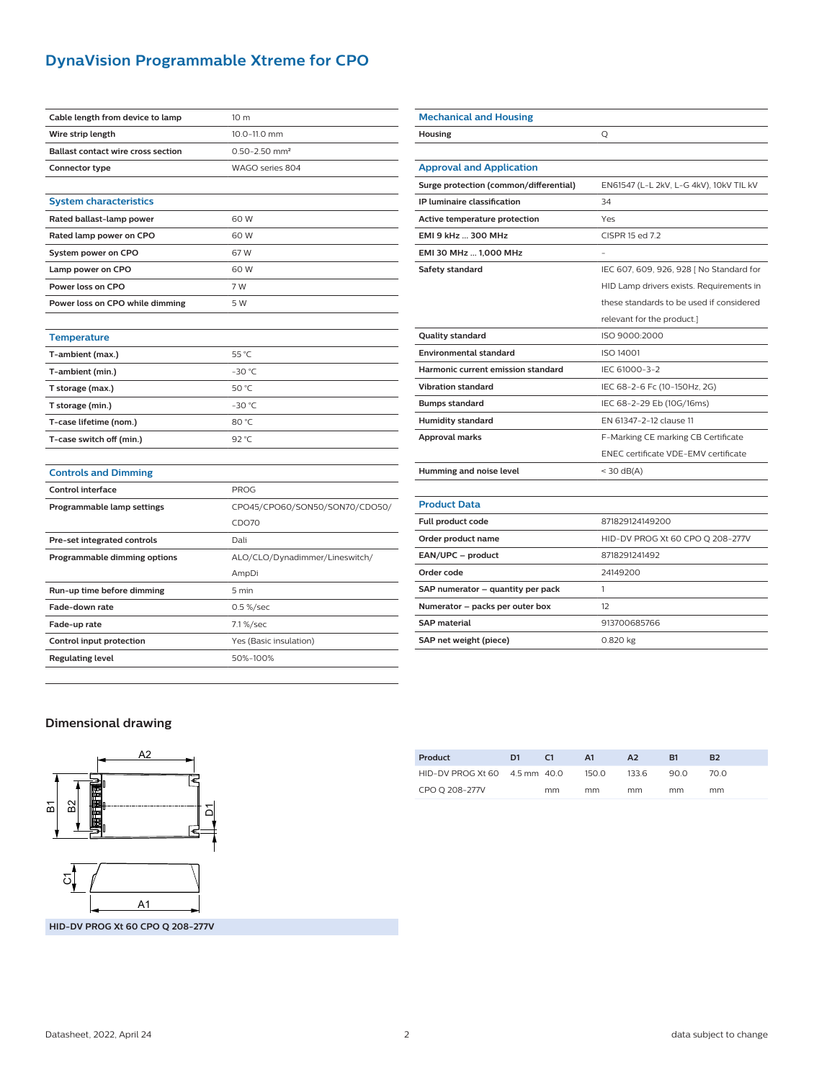## **DynaVision Programmable Xtreme for CPO**

| Cable length from device to lamp          | 10 m                           |  |  |  |  |
|-------------------------------------------|--------------------------------|--|--|--|--|
| Wire strip length                         | 10.0-11.0 mm                   |  |  |  |  |
| <b>Ballast contact wire cross section</b> | $0.50 - 2.50$ mm <sup>2</sup>  |  |  |  |  |
| Connector type                            | WAGO series 804                |  |  |  |  |
|                                           |                                |  |  |  |  |
| <b>System characteristics</b>             |                                |  |  |  |  |
| Rated ballast-lamp power                  | 60 W                           |  |  |  |  |
| Rated lamp power on CPO                   | 60 W                           |  |  |  |  |
| System power on CPO                       | 67W                            |  |  |  |  |
| Lamp power on CPO                         | 60 W                           |  |  |  |  |
| Power loss on CPO                         | 7 W                            |  |  |  |  |
| Power loss on CPO while dimming           | 5 W                            |  |  |  |  |
|                                           |                                |  |  |  |  |
| <b>Temperature</b>                        |                                |  |  |  |  |
| T-ambient (max.)                          | 55 °C                          |  |  |  |  |
| T-ambient (min.)                          | $-30 °C$                       |  |  |  |  |
| T storage (max.)                          | 50 °C                          |  |  |  |  |
| T storage (min.)                          | $-30$ °C                       |  |  |  |  |
| T-case lifetime (nom.)                    | 80 °C                          |  |  |  |  |
| T-case switch off (min.)                  | 92 °C                          |  |  |  |  |
|                                           |                                |  |  |  |  |
| <b>Controls and Dimming</b>               |                                |  |  |  |  |
| <b>Control interface</b>                  | <b>PROG</b>                    |  |  |  |  |
| Programmable lamp settings                | CPO45/CPO60/SON50/SON70/CDO50/ |  |  |  |  |
|                                           | CDO70                          |  |  |  |  |
| Pre-set integrated controls               | Dali                           |  |  |  |  |
| Programmable dimming options              | ALO/CLO/Dynadimmer/Lineswitch/ |  |  |  |  |
|                                           | AmpDi                          |  |  |  |  |
| Run-up time before dimming                | 5 min                          |  |  |  |  |
| Fade-down rate                            | 0.5 %/sec                      |  |  |  |  |
| Fade-up rate                              | 7.1%/sec                       |  |  |  |  |
| Control input protection                  | Yes (Basic insulation)         |  |  |  |  |
| <b>Regulating level</b>                   | 50%-100%                       |  |  |  |  |
|                                           |                                |  |  |  |  |

| <b>Mechanical and Housing</b>          |                                          |  |  |  |
|----------------------------------------|------------------------------------------|--|--|--|
| Housing                                | Q                                        |  |  |  |
|                                        |                                          |  |  |  |
| <b>Approval and Application</b>        |                                          |  |  |  |
| Surge protection (common/differential) | EN61547 (L-L 2kV, L-G 4kV), 10kV TIL kV  |  |  |  |
| IP luminaire classification            | 34                                       |  |  |  |
| Active temperature protection          | Yes                                      |  |  |  |
| EMI 9 kHz  300 MHz                     | CISPR 15 ed 7.2                          |  |  |  |
| EMI 30 MHz  1,000 MHz                  |                                          |  |  |  |
| Safety standard                        | IEC 607, 609, 926, 928   No Standard for |  |  |  |
|                                        | HID Lamp drivers exists. Requirements in |  |  |  |
|                                        | these standards to be used if considered |  |  |  |
|                                        | relevant for the product.]               |  |  |  |
| <b>Quality standard</b>                | ISO 9000:2000                            |  |  |  |
| <b>Environmental standard</b>          | ISO 14001                                |  |  |  |
| Harmonic current emission standard     | IEC 61000-3-2                            |  |  |  |
| <b>Vibration standard</b>              | IEC 68-2-6 Fc (10-150Hz, 2G)             |  |  |  |
| <b>Bumps standard</b>                  | IEC 68-2-29 Eb (10G/16ms)                |  |  |  |
| <b>Humidity standard</b>               | EN 61347-2-12 clause 11                  |  |  |  |
| <b>Approval marks</b>                  | F-Marking CE marking CB Certificate      |  |  |  |
|                                        | ENEC certificate VDE-EMV certificate     |  |  |  |
| Humming and noise level                | $<$ 30 dB(A)                             |  |  |  |
|                                        |                                          |  |  |  |
| <b>Product Data</b>                    |                                          |  |  |  |
| Full product code                      | 871829124149200                          |  |  |  |
| Order product name                     | HID-DV PROG Xt 60 CPO Q 208-277V         |  |  |  |
| EAN/UPC - product                      | 8718291241492                            |  |  |  |
| Order code                             | 24149200                                 |  |  |  |
| SAP numerator - quantity per pack      | $\mathbf{1}$                             |  |  |  |
| Numerator - packs per outer box        | 12                                       |  |  |  |
| <b>SAP material</b>                    | 913700685766                             |  |  |  |
| SAP net weight (piece)                 | 0.820 kg                                 |  |  |  |

### **Dimensional drawing**



| Product                       | D1 | C <sub>1</sub> | A1    | A2    | R1   | <b>B2</b> |
|-------------------------------|----|----------------|-------|-------|------|-----------|
| HID-DV PROG Xt 60 4.5 mm 40.0 |    |                | 150.0 | 133.6 | 90.0 | 70.O      |
| CPO O 208-277V                |    | mm             | mm    | mm    | mm   | mm        |